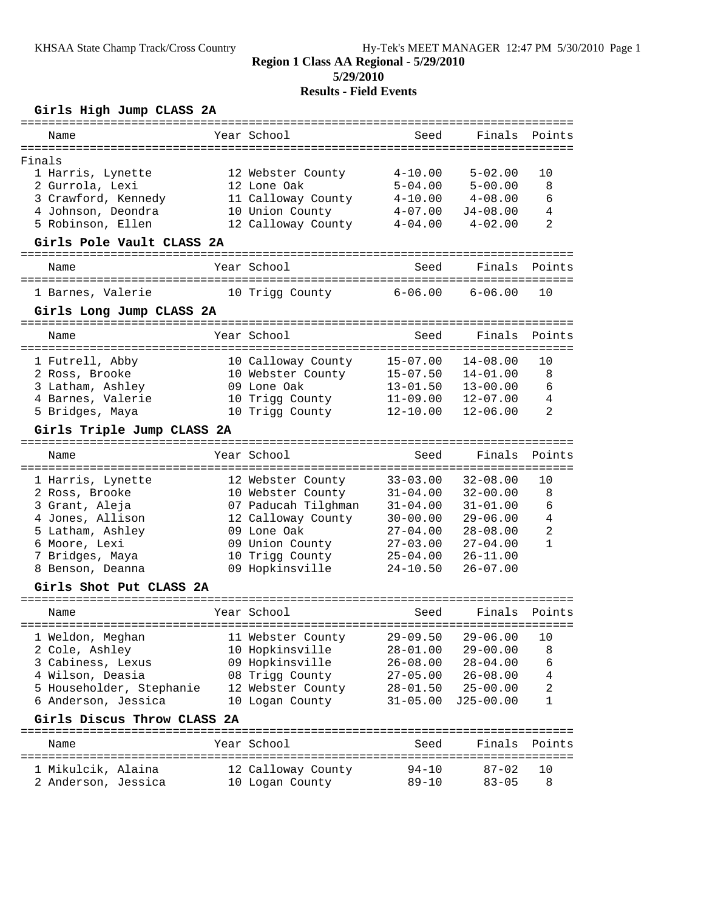## **Girls High Jump CLASS 2A**

| Name                                                     |              | Year School         | Seed                  | Finals        | Points         |
|----------------------------------------------------------|--------------|---------------------|-----------------------|---------------|----------------|
| Finals                                                   |              |                     |                       |               |                |
| 1 Harris, Lynette                                        |              | 12 Webster County   | $4 - 10.00$           | $5 - 02.00$   | 10             |
| 2 Gurrola, Lexi                                          |              | 12 Lone Oak         | $5 - 04.00$           | $5 - 00.00$   | 8              |
| 3 Crawford, Kennedy                                      |              | 11 Calloway County  | $4 - 10.00$           | $4 - 08.00$   | 6              |
| 4 Johnson, Deondra                                       |              | 10 Union County     | $4 - 07.00$           | $J4 - 08.00$  | $\overline{4}$ |
| 5 Robinson, Ellen                                        |              | 12 Calloway County  | $4 - 04.00$           | $4 - 02.00$   | $\overline{2}$ |
| Girls Pole Vault CLASS 2A                                |              |                     |                       |               |                |
| Name                                                     |              | Year School         | Seed                  | Finals        | Points         |
| =====================                                    | ----------   |                     |                       |               |                |
| 1 Barnes, Valerie                                        |              | 10 Trigg County     | $6 - 06.00$           | $6 - 06.00$   | 10             |
| Girls Long Jump CLASS 2A                                 |              |                     |                       |               |                |
| Name                                                     |              | Year School         | Seed                  | Finals        | Points         |
|                                                          | ------------ |                     | =======               |               |                |
| 1 Futrell, Abby                                          |              | 10 Calloway County  | $15 - 07.00$          | $14 - 08.00$  | 10             |
| 2 Ross, Brooke                                           |              | 10 Webster County   | $15 - 07.50$          | $14 - 01.00$  | 8              |
| 3 Latham, Ashley                                         |              | 09 Lone Oak         | $13 - 01.50$          | $13 - 00.00$  | 6              |
| 4 Barnes, Valerie                                        |              | 10 Trigg County     | $11 - 09.00$          | $12 - 07.00$  | 4              |
| 5 Bridges, Maya                                          |              | 10 Trigg County     | $12 - 10.00$          | $12 - 06.00$  | 2              |
| Girls Triple Jump CLASS 2A                               |              |                     |                       |               |                |
| Name                                                     |              | Year School         | Seed                  | Finals        | Points         |
| 1 Harris, Lynette                                        |              | 12 Webster County   | $33 - 03.00$          | $32 - 08.00$  | 10             |
| 2 Ross, Brooke                                           |              | 10 Webster County   | $31 - 04.00$          | $32 - 00.00$  | 8              |
| 3 Grant, Aleja                                           |              | 07 Paducah Tilghman | $31 - 04.00$          | $31 - 01.00$  | 6              |
| 4 Jones, Allison                                         |              | 12 Calloway County  | $30 - 00.00$          | $29 - 06.00$  | 4              |
| 5 Latham, Ashley                                         |              | 09 Lone Oak         | $27 - 04.00$          | $28 - 08.00$  | 2              |
| 6 Moore, Lexi                                            |              | 09 Union County     | $27 - 03.00$          | $27 - 04.00$  | 1              |
| 7 Bridges, Maya                                          |              | 10 Trigg County     | $25 - 04.00$          | $26 - 11.00$  |                |
| 8 Benson, Deanna                                         |              | 09 Hopkinsville     | $24 - 10.50$          | $26 - 07.00$  |                |
| Girls Shot Put CLASS 2A                                  |              |                     |                       |               |                |
| =====================================                    |              |                     |                       |               |                |
| Name                                                     |              | Year School         | Seed                  | Finals        | Points         |
|                                                          |              |                     |                       |               |                |
| 1 Weldon, Meghan                                         |              | 11 Webster County   | $29 - 09.50$          | $29 - 06.00$  | 10             |
| 2 Cole, Ashley                                           |              | 10 Hopkinsville     | $28 - 01.00$          | $29 - 00.00$  | 8              |
| 3 Cabiness, Lexus                                        |              | 09 Hopkinsville     | $26 - 08.00$          | $28 - 04.00$  | 6              |
| 4 Wilson, Deasia                                         |              | 08 Trigg County     | $27 - 05.00$          | $26 - 08.00$  | 4              |
| 5 Householder, Stephanie                                 |              | 12 Webster County   | $28 - 01.50$          | $25 - 00.00$  | 2              |
| 6 Anderson, Jessica                                      |              | 10 Logan County     | $31 - 05.00$          | $J25 - 00.00$ | 1              |
| Girls Discus Throw CLASS 2A<br>========================= |              |                     | --------------------- |               |                |
| Name                                                     |              | Year School         | Seed                  | Finals        | Points         |
| 1 Mikulcik, Alaina                                       |              | 12 Calloway County  | 94-10                 | $87 - 02$     | 10             |
| 2 Anderson, Jessica                                      |              | 10 Logan County     | $89 - 10$             | $83 - 05$     | 8              |
|                                                          |              |                     |                       |               |                |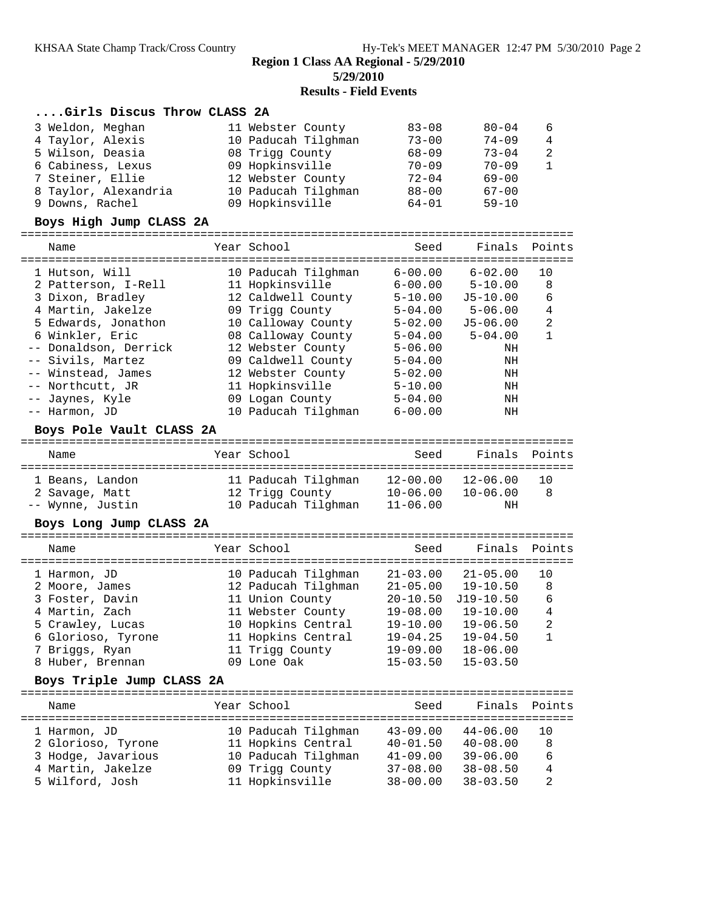**Region 1 Class AA Regional - 5/29/2010**

**5/29/2010**

#### **Results - Field Events**

#### **....Girls Discus Throw CLASS 2A**

| 3 Weldon, Meghan     | 11 Webster County   | $83 - 08$ | $80 - 04$ | - 6            |
|----------------------|---------------------|-----------|-----------|----------------|
| 4 Taylor, Alexis     | 10 Paducah Tilghman | $73 - 00$ | $74 - 09$ | 4              |
| 5 Wilson, Deasia     | 08 Trigg County     | $68 - 09$ | $73 - 04$ | - 2            |
| 6 Cabiness, Lexus    | 09 Hopkinsville     | $70 - 09$ | $70 - 09$ | $\overline{1}$ |
| 7 Steiner, Ellie     | 12 Webster County   | $72 - 04$ | $69 - 00$ |                |
| 8 Taylor, Alexandria | 10 Paducah Tilghman | $88 - 00$ | $67 - 00$ |                |
| 9 Downs, Rachel      | 09 Hopkinsville     | $64 - 01$ | $59 - 10$ |                |

#### **Boys High Jump CLASS 2A**

# ================================================================================

| Name                  | Year School         | Seed        | Finals Points |                |
|-----------------------|---------------------|-------------|---------------|----------------|
| 1 Hutson, Will        | 10 Paducah Tilghman | $6 - 00.00$ | $6 - 02.00$   | 10             |
| 2 Patterson, I-Rell   | 11 Hopkinsville     | $6 - 00.00$ | $5 - 10.00$   | 8              |
| 3 Dixon, Bradley      | 12 Caldwell County  | $5 - 10.00$ | $J5 - 10.00$  | 6              |
| 4 Martin, Jakelze     | 09 Trigg County     | $5 - 04.00$ | $5 - 06.00$   | 4              |
| 5 Edwards, Jonathon   | 10 Calloway County  | $5 - 02.00$ | J5-06.00      | $\overline{2}$ |
| 6 Winkler, Eric       | 08 Calloway County  | $5 - 04.00$ | $5 - 04.00$   | 1              |
| -- Donaldson, Derrick | 12 Webster County   | $5 - 06.00$ | ΝH            |                |
| -- Sivils, Martez     | 09 Caldwell County  | $5 - 04.00$ | ΝH            |                |
| -- Winstead, James    | 12 Webster County   | $5 - 02.00$ | ΝH            |                |
| -- Northcutt, JR      | 11 Hopkinsville     | $5 - 10.00$ | ΝH            |                |
| -- Jaynes, Kyle       | 09 Logan County     | $5 - 04.00$ | ΝH            |                |
| -- Harmon, JD         | 10 Paducah Tilghman | $6 - 00.00$ | ΝH            |                |

#### **Boys Pole Vault CLASS 2A**

| Name                              | Year School                            | Seed                         | Finals Points                |          |
|-----------------------------------|----------------------------------------|------------------------------|------------------------------|----------|
| 1 Beans, Landon<br>2 Savage, Matt | 11 Paducah Tilghman<br>12 Trigg County | $12 - 00.00$<br>$10 - 06.00$ | $12 - 06.00$<br>$10 - 06.00$ | 1 O<br>8 |
| -- Wynne, Justin                  | 10 Paducah Tilghman                    | $11 - 06.00$                 | ΝH                           |          |

#### **Boys Long Jump CLASS 2A**

| Name               | Year School         | Seed         | Finals       | Points         |
|--------------------|---------------------|--------------|--------------|----------------|
| 1 Harmon, JD       | 10 Paducah Tilghman | $21 - 03.00$ | $21 - 05.00$ | 10             |
| 2 Moore, James     | 12 Paducah Tilghman | $21 - 05.00$ | $19 - 10.50$ | 8              |
| 3 Foster, Davin    | 11 Union County     | $20 - 10.50$ | $J19-10.50$  | 6              |
| 4 Martin, Zach     | 11 Webster County   | $19 - 08.00$ | $19 - 10.00$ | 4              |
| 5 Crawley, Lucas   | 10 Hopkins Central  | $19 - 10.00$ | $19 - 06.50$ | $\overline{2}$ |
| 6 Glorioso, Tyrone | 11 Hopkins Central  | $19 - 04.25$ | $19 - 04.50$ |                |
| 7 Briggs, Ryan     | 11 Trigg County     | $19 - 09.00$ | $18 - 06.00$ |                |
| 8 Huber, Brennan   | 09 Lone Oak         | $15 - 03.50$ | $15 - 03.50$ |                |
|                    |                     |              |              |                |

#### **Boys Triple Jump CLASS 2A**

| Name               | Year School         | Seed         | Finals Points |    |
|--------------------|---------------------|--------------|---------------|----|
| 1 Harmon, JD       | 10 Paducah Tilghman | $43 - 09.00$ | $44 - 06.00$  | 10 |
| 2 Glorioso, Tyrone | 11 Hopkins Central  | $40 - 01.50$ | $40 - 08.00$  | 8  |
| 3 Hodge, Javarious | 10 Paducah Tilghman | $41 - 09.00$ | $39 - 06.00$  | 6  |
| 4 Martin, Jakelze  | 09 Trigg County     | $37 - 08.00$ | $38 - 08.50$  | 4  |
| 5 Wilford, Josh    | 11 Hopkinsville     | $38 - 00.00$ | $38 - 03.50$  | 2  |